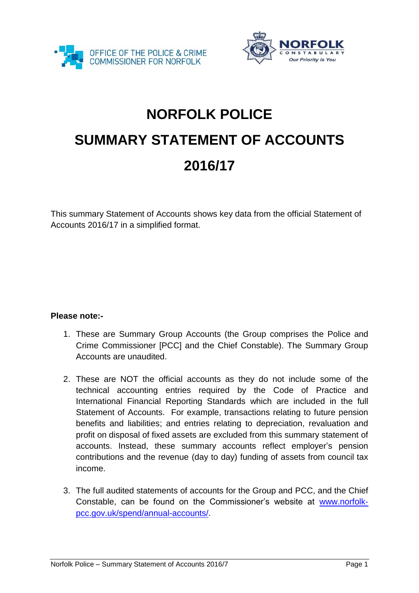



## **NORFOLK POLICE SUMMARY STATEMENT OF ACCOUNTS 2016/17**

This summary Statement of Accounts shows key data from the official Statement of Accounts 2016/17 in a simplified format.

## **Please note:-**

- 1. These are Summary Group Accounts (the Group comprises the Police and Crime Commissioner [PCC] and the Chief Constable). The Summary Group Accounts are unaudited.
- 2. These are NOT the official accounts as they do not include some of the technical accounting entries required by the Code of Practice and International Financial Reporting Standards which are included in the full Statement of Accounts. For example, transactions relating to future pension benefits and liabilities; and entries relating to depreciation, revaluation and profit on disposal of fixed assets are excluded from this summary statement of accounts. Instead, these summary accounts reflect employer's pension contributions and the revenue (day to day) funding of assets from council tax income.
- 3. The full audited statements of accounts for the Group and PCC, and the Chief Constable, can be found on the Commissioner's website at [www.norfolk](http://www.norfolk-pcc.gov.uk/spend/annual-accounts/)[pcc.gov.uk/spend/annual-accounts/.](http://www.norfolk-pcc.gov.uk/spend/annual-accounts/)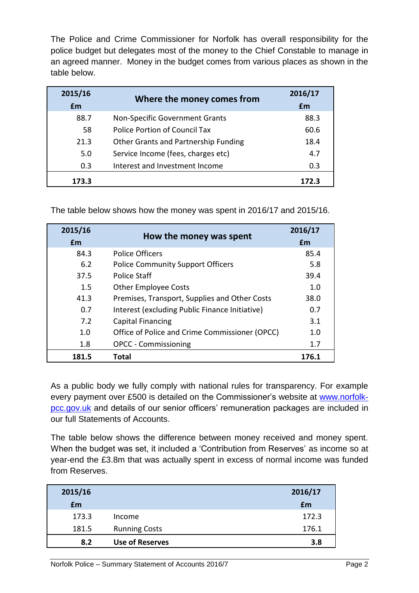The Police and Crime Commissioner for Norfolk has overall responsibility for the police budget but delegates most of the money to the Chief Constable to manage in an agreed manner. Money in the budget comes from various places as shown in the table below.

| 2015/16 | Where the money comes from           | 2016/17    |
|---------|--------------------------------------|------------|
| Em      |                                      | <b>f</b> m |
| 88.7    | Non-Specific Government Grants       | 88.3       |
| 58      | Police Portion of Council Tax        | 60.6       |
| 21.3    | Other Grants and Partnership Funding | 18.4       |
| 5.0     | Service Income (fees, charges etc)   | 4.7        |
| 0.3     | Interest and Investment Income       | 0.3        |
| 173.3   |                                      | 172.3      |

The table below shows how the money was spent in 2016/17 and 2015/16.

| 2015/16<br>£m | How the money was spent                        | 2016/17<br>£m |
|---------------|------------------------------------------------|---------------|
| 84.3          | <b>Police Officers</b>                         | 85.4          |
| 6.2           | <b>Police Community Support Officers</b>       | 5.8           |
| 37.5          | <b>Police Staff</b>                            | 39.4          |
| 1.5           | <b>Other Employee Costs</b>                    | 1.0           |
| 41.3          | Premises, Transport, Supplies and Other Costs  | 38.0          |
| 0.7           | Interest (excluding Public Finance Initiative) | 0.7           |
| 7.2           | <b>Capital Financing</b>                       | 3.1           |
| 1.0           | Office of Police and Crime Commissioner (OPCC) | 1.0           |
| 1.8           | <b>OPCC - Commissioning</b>                    | 1.7           |
| 181.5         | Total                                          | 176.1         |

As a public body we fully comply with national rules for transparency. For example every payment over £500 is detailed on the Commissioner's website at [www.norfolk](http://www.norfolk-pcc.gov.uk/)[pcc.gov.uk](http://www.norfolk-pcc.gov.uk/) and details of our senior officers' remuneration packages are included in our full Statements of Accounts.

The table below shows the difference between money received and money spent. When the budget was set, it included a 'Contribution from Reserves' as income so at year-end the £3.8m that was actually spent in excess of normal income was funded from Reserves.

| 2015/16 |                        | 2016/17 |
|---------|------------------------|---------|
| £m      |                        | £m      |
| 173.3   | Income                 | 172.3   |
| 181.5   | <b>Running Costs</b>   | 176.1   |
| 8.2     | <b>Use of Reserves</b> | 3.8     |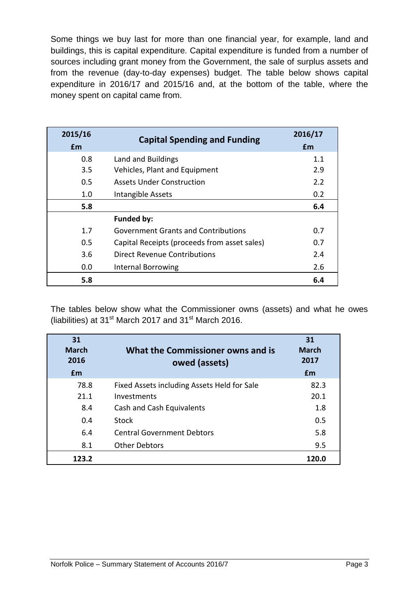Some things we buy last for more than one financial year, for example, land and buildings, this is capital expenditure. Capital expenditure is funded from a number of sources including grant money from the Government, the sale of surplus assets and from the revenue (day-to-day expenses) budget. The table below shows capital expenditure in 2016/17 and 2015/16 and, at the bottom of the table, where the money spent on capital came from.

| 2015/16<br><b>f</b> m | <b>Capital Spending and Funding</b>          | 2016/17<br>£m |
|-----------------------|----------------------------------------------|---------------|
| 0.8                   | Land and Buildings                           | 1.1           |
| 3.5                   | Vehicles, Plant and Equipment                | 2.9           |
| 0.5                   | <b>Assets Under Construction</b>             | 2.2           |
| 1.0                   | Intangible Assets                            | 0.2           |
| 5.8                   |                                              | 6.4           |
|                       | <b>Funded by:</b>                            |               |
| 1.7                   | <b>Government Grants and Contributions</b>   | 0.7           |
| 0.5                   | Capital Receipts (proceeds from asset sales) | 0.7           |
| 3.6                   | Direct Revenue Contributions                 | 2.4           |
| 0.0                   | <b>Internal Borrowing</b>                    | 2.6           |
| 5.8                   |                                              | 6.4           |

The tables below show what the Commissioner owns (assets) and what he owes (liabilities) at 31 $\mathrm{^{st}}$  March 2017 and 31 $\mathrm{^{st}}$  March 2016.

| 31<br><b>March</b><br>2016<br>Em | What the Commissioner owns and is<br>owed (assets) | 31<br><b>March</b><br>2017<br>£m |
|----------------------------------|----------------------------------------------------|----------------------------------|
| 78.8                             | Fixed Assets including Assets Held for Sale        | 82.3                             |
| 21.1                             | Investments                                        | 20.1                             |
| 8.4                              | Cash and Cash Equivalents                          | 1.8                              |
| 0.4                              | Stock                                              | 0.5                              |
| 6.4                              | <b>Central Government Debtors</b>                  | 5.8                              |
| 8.1                              | <b>Other Debtors</b>                               | 9.5                              |
| 123.2                            |                                                    | 120.0                            |